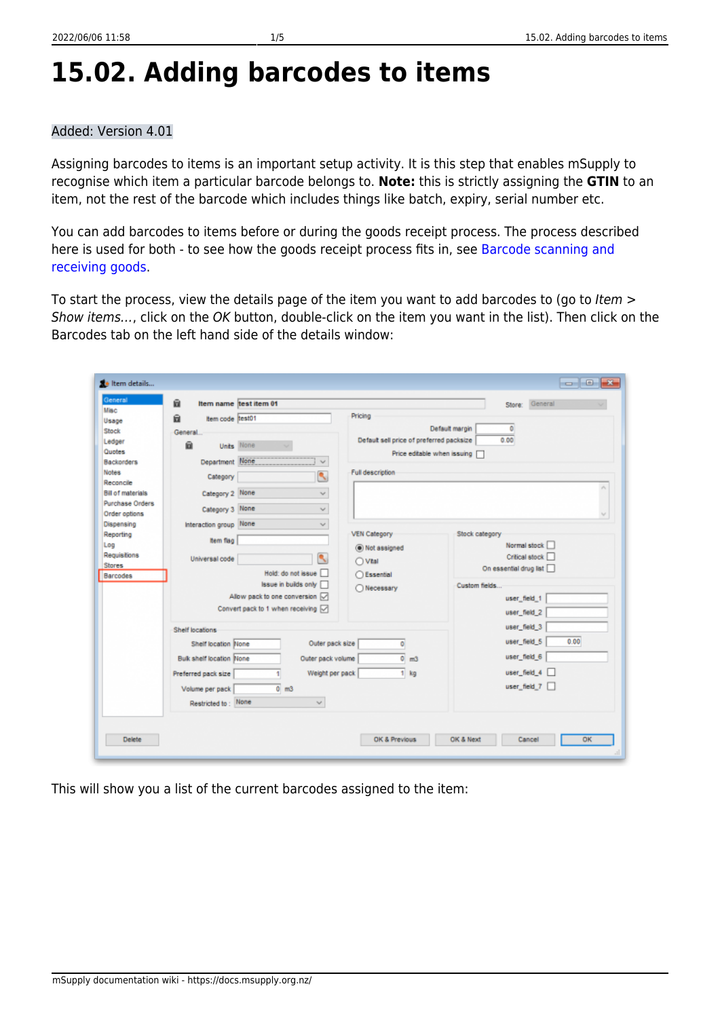# **15.02. Adding barcodes to items**

#### Added: Version 4.01

Assigning barcodes to items is an important setup activity. It is this step that enables mSupply to recognise which item a particular barcode belongs to. **Note:** this is strictly assigning the **GTIN** to an item, not the rest of the barcode which includes things like batch, expiry, serial number etc.

You can add barcodes to items before or during the goods receipt process. The process described here is used for both - to see how the goods receipt process fits in, see [Barcode scanning and](https://docs.msupply.org.nz/barcode_scanning:receiving_goods) [receiving goods](https://docs.msupply.org.nz/barcode_scanning:receiving_goods).

To start the process, view the details page of the item you want to add barcodes to (go to Item > Show items…, click on the OK button, double-click on the item you want in the list). Then click on the Barcodes tab on the left hand side of the details window:

| û                                           | Item name test item 01             |                                          | General<br>Store:      |  |  |
|---------------------------------------------|------------------------------------|------------------------------------------|------------------------|--|--|
| Ĥ                                           | Item code test01                   | Pricing                                  |                        |  |  |
| General.                                    |                                    |                                          | Default margin<br>۰    |  |  |
| ū                                           |                                    | Default sell price of preferred packsize | 0.00                   |  |  |
|                                             | Units None                         | Price editable when issuing              |                        |  |  |
| Department None<br>Backorders               | $\sim$                             |                                          |                        |  |  |
| Category                                    | ٩                                  | Full description                         |                        |  |  |
| Category 2 None<br><b>Bill of materials</b> | $\mathcal{A}_{\mathcal{A}}$        |                                          |                        |  |  |
| <b>Purchase Orders</b>                      |                                    |                                          |                        |  |  |
| Category 3 None<br>Order options            | $\sim$                             |                                          |                        |  |  |
| Interaction group None<br>Dispensing        | $\sim$                             |                                          |                        |  |  |
| <b>Item flag</b>                            |                                    | <b>VEN Category</b>                      | Stock category         |  |  |
|                                             |                                    | (a) Not assigned                         | Normal stock           |  |  |
| Requisitions<br>Universal code              | ↖                                  | OVtal                                    | Critical stock         |  |  |
|                                             | Hold: do not issue                 | ○ Essential                              | On essential drug list |  |  |
|                                             | Issue in builds only               | Necessary                                | Custom fields          |  |  |
|                                             | Allow pack to one conversion [     |                                          | user_field_1           |  |  |
|                                             | Convert pack to 1 when receiving [ |                                          | user_field_2           |  |  |
|                                             |                                    |                                          | user_field_3           |  |  |
| Shelf locations                             |                                    |                                          | user_field 5<br>0.00   |  |  |
| Shelf location None                         |                                    | Outer pack size<br>۰                     |                        |  |  |
| Bulk shelf location None                    | Outer pack volume                  | $\bullet$<br>m3                          | user_field 6           |  |  |
| Preferred pack size                         |                                    | Weight per pack<br>$1$ kg                | user field 4           |  |  |
| Volume per pack                             | $0 \text{ m}$ 3                    |                                          | user_field 7           |  |  |
| Restricted to: None                         | $\sim$                             |                                          |                        |  |  |
|                                             |                                    |                                          |                        |  |  |
|                                             |                                    |                                          |                        |  |  |

This will show you a list of the current barcodes assigned to the item: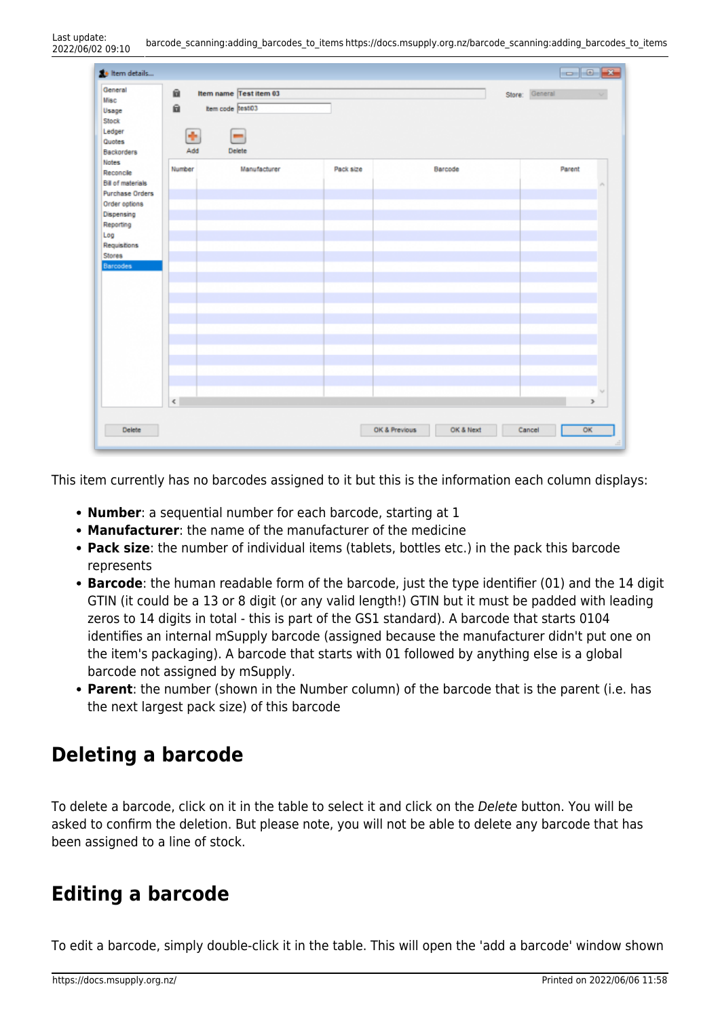| the Item details<br>General<br><b>Misc</b><br>Usage<br>Stock<br>Ledger<br>Quotes<br><b>Backorders</b>                                                                                  | û<br>自<br>٠<br>Add | Item name Test item 03<br>tem code test03<br>$\equiv$<br>Delete | $\begin{tabular}{c} \multicolumn{1}{c} {\bf 1} & {\bf 2} & {\bf 3} \\ \multicolumn{1}{c} {\bf 1} & {\bf 3} & {\bf 4} \\ \multicolumn{1}{c} {\bf 2} & {\bf 3} & {\bf 5} \\ \multicolumn{1}{c} {\bf 3} & {\bf 6} & {\bf 7} \\ \multicolumn{1}{c} {\bf 4} & {\bf 8} & {\bf 8} \\ \multicolumn{1}{c} {\bf 5} & {\bf 8} & {\bf 8} \\ \multicolumn{1}{c} {\bf 6} & {\bf 8} & {\bf 8} \\ \multicolumn{1}{c} {\bf 7} & {\bf 8} & {\bf$<br>Store: General |           |                   |
|----------------------------------------------------------------------------------------------------------------------------------------------------------------------------------------|--------------------|-----------------------------------------------------------------|--------------------------------------------------------------------------------------------------------------------------------------------------------------------------------------------------------------------------------------------------------------------------------------------------------------------------------------------------------------------------------------------------------------------------------------------------|-----------|-------------------|
| <b>Notes</b><br>Reconcile<br><b>Bill of materials</b><br><b>Purchase Orders</b><br>Order options<br>Dispensing<br>Reporting<br>Log<br>Requisitions<br><b>Stores</b><br><b>Barcodes</b> | Number             | Manufacturer                                                    | Pack size                                                                                                                                                                                                                                                                                                                                                                                                                                        | Barcode   | Parent            |
|                                                                                                                                                                                        | $\leq$             |                                                                 |                                                                                                                                                                                                                                                                                                                                                                                                                                                  |           | $\,$              |
| Delete                                                                                                                                                                                 |                    |                                                                 | OK & Previous                                                                                                                                                                                                                                                                                                                                                                                                                                    | OK & Next | OK<br>Cancel<br>크 |

This item currently has no barcodes assigned to it but this is the information each column displays:

- **Number**: a sequential number for each barcode, starting at 1
- **Manufacturer**: the name of the manufacturer of the medicine
- **Pack size**: the number of individual items (tablets, bottles etc.) in the pack this barcode represents
- **Barcode**: the human readable form of the barcode, just the type identifier (01) and the 14 digit GTIN (it could be a 13 or 8 digit (or any valid length!) GTIN but it must be padded with leading zeros to 14 digits in total - this is part of the GS1 standard). A barcode that starts 0104 identifies an internal mSupply barcode (assigned because the manufacturer didn't put one on the item's packaging). A barcode that starts with 01 followed by anything else is a global barcode not assigned by mSupply.
- **Parent**: the number (shown in the Number column) of the barcode that is the parent (i.e. has the next largest pack size) of this barcode

### **Deleting a barcode**

To delete a barcode, click on it in the table to select it and click on the Delete button. You will be asked to confirm the deletion. But please note, you will not be able to delete any barcode that has been assigned to a line of stock.

### **Editing a barcode**

To edit a barcode, simply double-click it in the table. This will open the 'add a barcode' window shown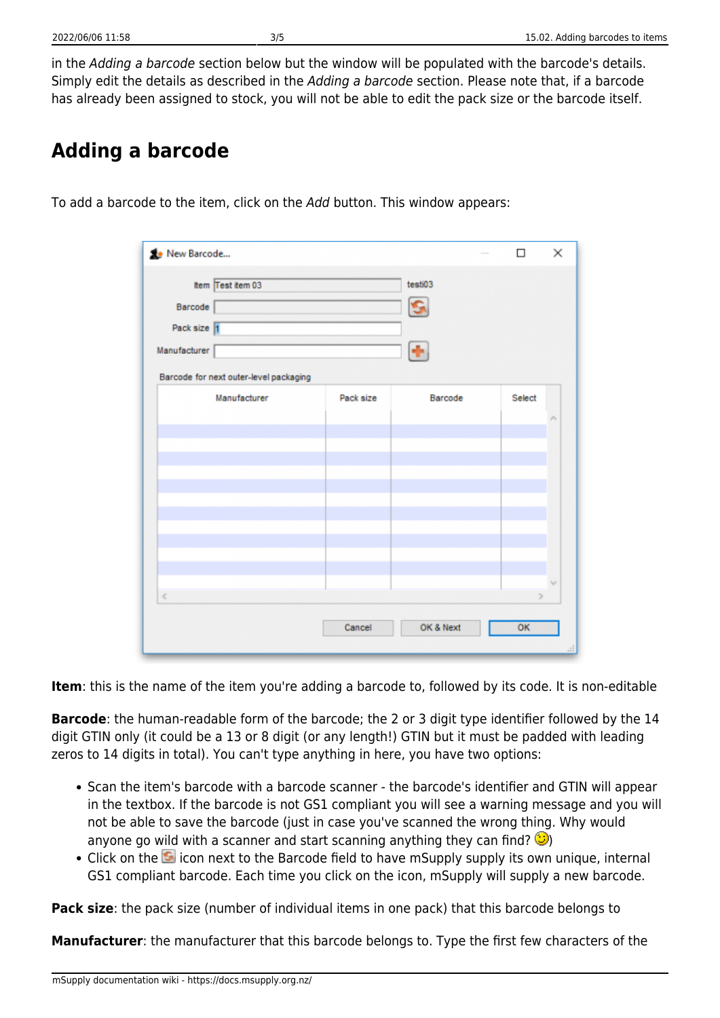in the Adding a barcode section below but the window will be populated with the barcode's details. Simply edit the details as described in the Adding a barcode section. Please note that, if a barcode has already been assigned to stock, you will not be able to edit the pack size or the barcode itself.

## **Adding a barcode**

To add a barcode to the item, click on the Add button. This window appears:

| New Barcode  |                                        |           |           | □      | ×                  |
|--------------|----------------------------------------|-----------|-----------|--------|--------------------|
|              | Item Test item 03                      |           | testi03   |        |                    |
| Barcode      |                                        |           |           |        |                    |
| Pack size 1  |                                        |           |           |        |                    |
| Manufacturer |                                        |           | ÷         |        |                    |
|              | Barcode for next outer-level packaging |           |           |        |                    |
|              | Manufacturer                           | Pack size | Barcode   | Select |                    |
|              |                                        |           |           |        | ۸                  |
|              |                                        |           |           |        |                    |
|              |                                        |           |           |        |                    |
|              |                                        |           |           |        |                    |
|              |                                        |           |           |        |                    |
|              |                                        |           |           |        |                    |
|              |                                        |           |           |        |                    |
|              |                                        |           |           |        |                    |
| $\,<$        |                                        |           |           |        | w<br>$\Rightarrow$ |
|              |                                        |           |           |        |                    |
|              |                                        | Cancel    | OK & Next | OK     |                    |

**Item**: this is the name of the item you're adding a barcode to, followed by its code. It is non-editable

**Barcode**: the human-readable form of the barcode; the 2 or 3 digit type identifier followed by the 14 digit GTIN only (it could be a 13 or 8 digit (or any length!) GTIN but it must be padded with leading zeros to 14 digits in total). You can't type anything in here, you have two options:

- Scan the item's barcode with a barcode scanner the barcode's identifier and GTIN will appear in the textbox. If the barcode is not GS1 compliant you will see a warning message and you will not be able to save the barcode (just in case you've scanned the wrong thing. Why would anyone go wild with a scanner and start scanning anything they can find?  $\circled{e}$ )
- •Click on the **induce** icon next to the Barcode field to have mSupply supply its own unique, internal GS1 compliant barcode. Each time you click on the icon, mSupply will supply a new barcode.

**Pack size**: the pack size (number of individual items in one pack) that this barcode belongs to

**Manufacturer**: the manufacturer that this barcode belongs to. Type the first few characters of the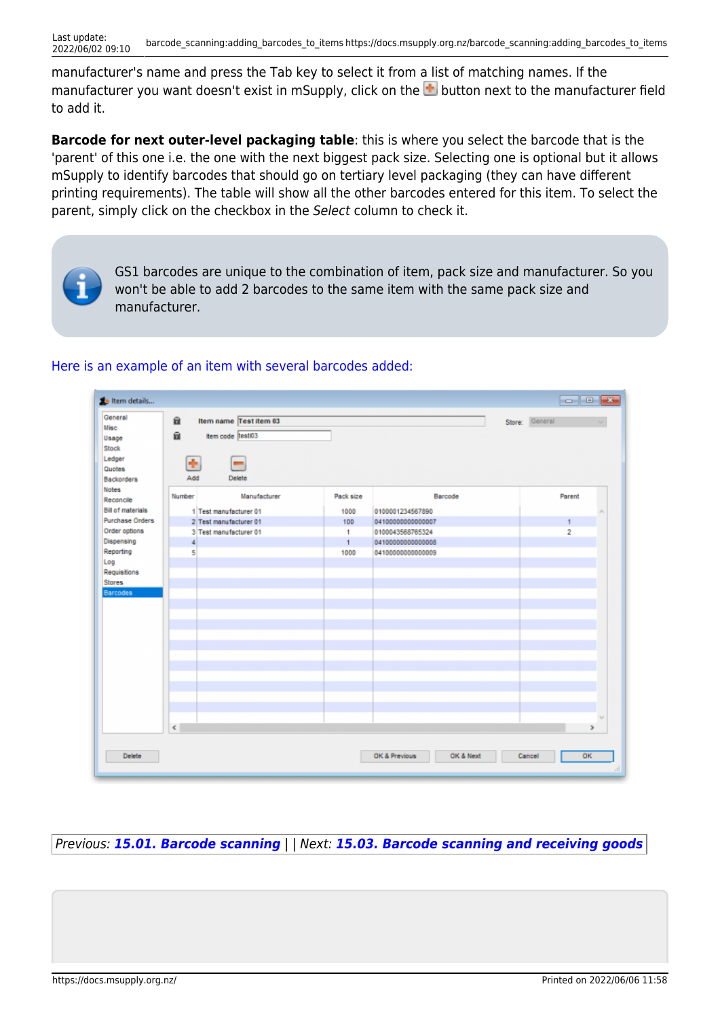manufacturer's name and press the Tab key to select it from a list of matching names. If the manufactureryou want doesn't exist in mSupply, click on the **button next to the manufacturer field** to add it.

**Barcode for next outer-level packaging table**: this is where you select the barcode that is the 'parent' of this one i.e. the one with the next biggest pack size. Selecting one is optional but it allows mSupply to identify barcodes that should go on tertiary level packaging (they can have different printing requirements). The table will show all the other barcodes entered for this item. To select the parent, simply click on the checkbox in the Select column to check it.



GS1 barcodes are unique to the combination of item, pack size and manufacturer. So you won't be able to add 2 barcodes to the same item with the same pack size and manufacturer.

#### [Here is an example of an item with several barcodes added:](https://docs.msupply.org.nz/_detail/barcode_scanning:barcoding_item_with_barcodes.png?id=barcode_scanning%3Aadding_barcodes_to_items)



Previous: *[15.01. Barcode scanning](https://docs.msupply.org.nz/barcode_scanning:introduction_and_setup)* | | Next: *[15.03. Barcode scanning and receiving goods](https://docs.msupply.org.nz/barcode_scanning:receiving_goods)*